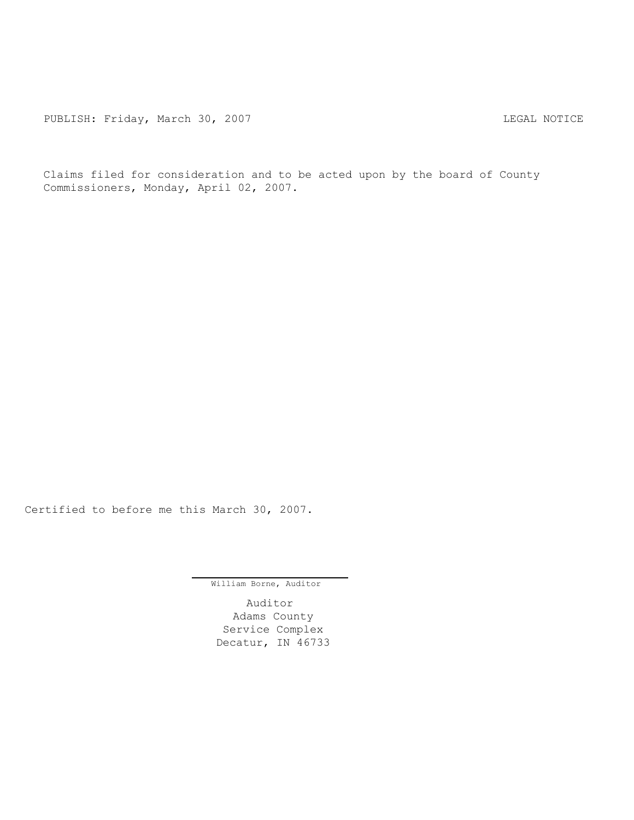Claims filed for consideration and to be acted upon by the board of County Commissioners, Monday, April 02, 2007.

Certified to before me this March 30, 2007.

William Borne, Auditor

Auditor Adams County Service Complex Decatur, IN 46733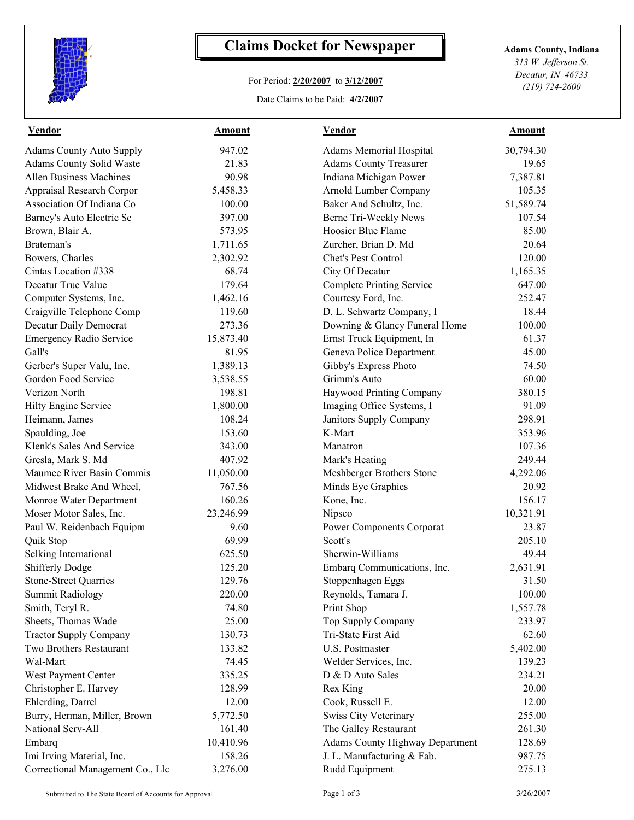

## **Claims Docket for Newspaper Adams County, Indiana**

## For Period: **2/20/2007** to **3/12/2007**

Date Claims to be Paid: **4/2/2007**

*313 W. Jefferson St. Decatur, IN 46733 (219) 724-2600*

| <b>Vendor</b>                    | <b>Amount</b> | <b>Vendor</b>                          | <b>Amount</b> |  |
|----------------------------------|---------------|----------------------------------------|---------------|--|
| <b>Adams County Auto Supply</b>  | 947.02        | <b>Adams Memorial Hospital</b>         | 30,794.30     |  |
| Adams County Solid Waste         | 21.83         | <b>Adams County Treasurer</b>          | 19.65         |  |
| <b>Allen Business Machines</b>   | 90.98         | Indiana Michigan Power                 | 7,387.81      |  |
| Appraisal Research Corpor        | 5,458.33      | Arnold Lumber Company                  | 105.35        |  |
| Association Of Indiana Co        | 100.00        | Baker And Schultz, Inc.                | 51,589.74     |  |
| Barney's Auto Electric Se        | 397.00        | Berne Tri-Weekly News                  | 107.54        |  |
| Brown, Blair A.                  | 573.95        | Hoosier Blue Flame                     | 85.00         |  |
| Brateman's                       | 1,711.65      | Zurcher, Brian D. Md                   | 20.64         |  |
| Bowers, Charles                  | 2,302.92      | Chet's Pest Control                    | 120.00        |  |
| Cintas Location #338             | 68.74         | City Of Decatur                        | 1,165.35      |  |
| Decatur True Value               | 179.64        | <b>Complete Printing Service</b>       | 647.00        |  |
| Computer Systems, Inc.           | 1,462.16      | Courtesy Ford, Inc.                    | 252.47        |  |
| Craigville Telephone Comp        | 119.60        | D. L. Schwartz Company, I              | 18.44         |  |
| Decatur Daily Democrat           | 273.36        | Downing & Glancy Funeral Home          | 100.00        |  |
| <b>Emergency Radio Service</b>   | 15,873.40     | Ernst Truck Equipment, In              | 61.37         |  |
| Gall's                           | 81.95         | Geneva Police Department               | 45.00         |  |
| Gerber's Super Valu, Inc.        | 1,389.13      | Gibby's Express Photo                  | 74.50         |  |
| Gordon Food Service              | 3,538.55      | Grimm's Auto                           | 60.00         |  |
| Verizon North                    | 198.81        | Haywood Printing Company               | 380.15        |  |
| Hilty Engine Service             | 1,800.00      | Imaging Office Systems, I              | 91.09         |  |
| Heimann, James                   | 108.24        | <b>Janitors Supply Company</b>         | 298.91        |  |
| Spaulding, Joe                   | 153.60        | K-Mart                                 | 353.96        |  |
| Klenk's Sales And Service        | 343.00        | Manatron                               | 107.36        |  |
| Gresla, Mark S. Md               | 407.92        | Mark's Heating                         | 249.44        |  |
| Maumee River Basin Commis        | 11,050.00     | Meshberger Brothers Stone              | 4,292.06      |  |
| Midwest Brake And Wheel,         | 767.56        | Minds Eye Graphics                     | 20.92         |  |
| Monroe Water Department          | 160.26        | Kone, Inc.                             | 156.17        |  |
| Moser Motor Sales, Inc.          | 23,246.99     | Nipsco                                 | 10,321.91     |  |
| Paul W. Reidenbach Equipm        | 9.60          | Power Components Corporat              | 23.87         |  |
| Quik Stop                        | 69.99         | Scott's                                | 205.10        |  |
| Selking International            | 625.50        | Sherwin-Williams                       | 49.44         |  |
| <b>Shifferly Dodge</b>           | 125.20        | Embarq Communications, Inc.            | 2,631.91      |  |
| <b>Stone-Street Quarries</b>     | 129.76        | Stoppenhagen Eggs                      | 31.50         |  |
| <b>Summit Radiology</b>          | 220.00        | Reynolds, Tamara J.                    | 100.00        |  |
| Smith, Teryl R.                  | 74.80         | Print Shop                             | 1,557.78      |  |
| Sheets, Thomas Wade              | 25.00         | Top Supply Company                     | 233.97        |  |
| <b>Tractor Supply Company</b>    | 130.73        | Tri-State First Aid                    | 62.60         |  |
| Two Brothers Restaurant          | 133.82        | U.S. Postmaster                        | 5,402.00      |  |
| Wal-Mart                         | 74.45         | Welder Services, Inc.                  | 139.23        |  |
| West Payment Center              | 335.25        | D & D Auto Sales                       | 234.21        |  |
| Christopher E. Harvey            | 128.99        | Rex King                               | 20.00         |  |
| Ehlerding, Darrel                | 12.00         | Cook, Russell E.                       | 12.00         |  |
| Burry, Herman, Miller, Brown     | 5,772.50      | <b>Swiss City Veterinary</b>           | 255.00        |  |
| National Serv-All                | 161.40        | The Galley Restaurant                  | 261.30        |  |
| Embarq                           | 10,410.96     | <b>Adams County Highway Department</b> | 128.69        |  |
| Imi Irving Material, Inc.        | 158.26        | J. L. Manufacturing & Fab.             | 987.75        |  |
| Correctional Management Co., Llc | 3,276.00      | Rudd Equipment                         | 275.13        |  |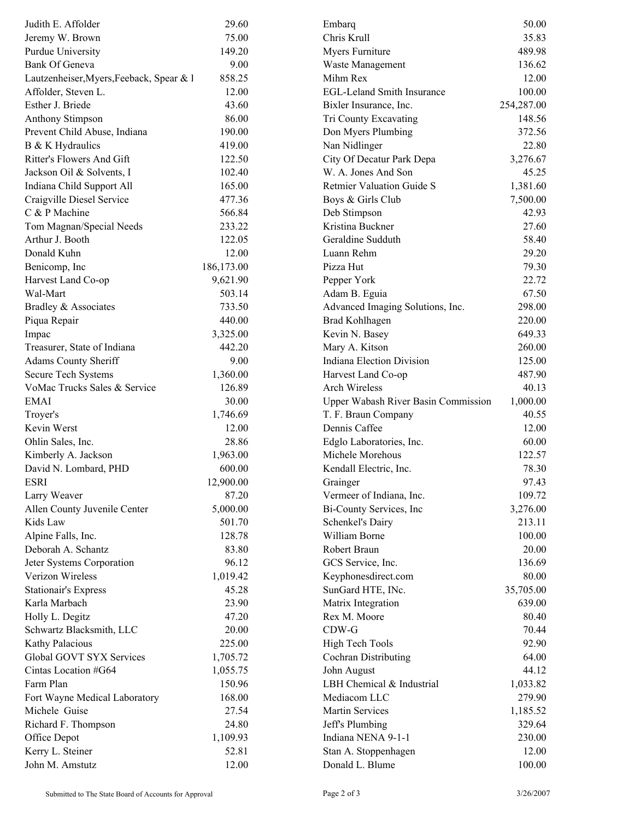| Judith E. Affolder                       | 29.60      | Embarq                              | 50.00      |
|------------------------------------------|------------|-------------------------------------|------------|
| Jeremy W. Brown                          | 75.00      | Chris Krull                         | 35.83      |
| Purdue University                        | 149.20     | Myers Furniture                     | 489.98     |
| <b>Bank Of Geneva</b>                    | 9.00       | Waste Management                    | 136.62     |
| Lautzenheiser, Myers, Feeback, Spear & 1 | 858.25     | Mihm Rex                            | 12.00      |
| Affolder, Steven L.                      | 12.00      | <b>EGL-Leland Smith Insurance</b>   | 100.00     |
| Esther J. Briede                         | 43.60      | Bixler Insurance, Inc.              | 254,287.00 |
| Anthony Stimpson                         | 86.00      | Tri County Excavating               | 148.56     |
| Prevent Child Abuse, Indiana             | 190.00     | Don Myers Plumbing                  | 372.56     |
| B & K Hydraulics                         | 419.00     | Nan Nidlinger                       | 22.80      |
| Ritter's Flowers And Gift                | 122.50     | City Of Decatur Park Depa           | 3,276.67   |
| Jackson Oil & Solvents, I                | 102.40     | W. A. Jones And Son                 | 45.25      |
| Indiana Child Support All                | 165.00     | <b>Retmier Valuation Guide S</b>    | 1,381.60   |
| Craigville Diesel Service                | 477.36     | Boys & Girls Club                   | 7,500.00   |
| C & P Machine                            | 566.84     | Deb Stimpson                        | 42.93      |
| Tom Magnan/Special Needs                 | 233.22     | Kristina Buckner                    | 27.60      |
| Arthur J. Booth                          | 122.05     | Geraldine Sudduth                   | 58.40      |
| Donald Kuhn                              | 12.00      | Luann Rehm                          | 29.20      |
| Benicomp, Inc                            | 186,173.00 | Pizza Hut                           | 79.30      |
| Harvest Land Co-op                       | 9,621.90   | Pepper York                         | 22.72      |
| Wal-Mart                                 | 503.14     | Adam B. Eguia                       | 67.50      |
| Bradley & Associates                     | 733.50     | Advanced Imaging Solutions, Inc.    | 298.00     |
| Piqua Repair                             | 440.00     | <b>Brad Kohlhagen</b>               | 220.00     |
|                                          | 3,325.00   |                                     | 649.33     |
| Impac                                    | 442.20     | Kevin N. Basey                      | 260.00     |
| Treasurer, State of Indiana              | 9.00       | Mary A. Kitson                      | 125.00     |
| Adams County Sheriff                     |            | <b>Indiana Election Division</b>    |            |
| Secure Tech Systems                      | 1,360.00   | Harvest Land Co-op                  | 487.90     |
| VoMac Trucks Sales & Service             | 126.89     | Arch Wireless                       | 40.13      |
| <b>EMAI</b>                              | 30.00      | Upper Wabash River Basin Commission | 1,000.00   |
| Troyer's                                 | 1,746.69   | T. F. Braun Company                 | 40.55      |
| Kevin Werst                              | 12.00      | Dennis Caffee                       | 12.00      |
| Ohlin Sales, Inc.                        | 28.86      | Edglo Laboratories, Inc.            | 60.00      |
| Kimberly A. Jackson                      | 1,963.00   | Michele Morehous                    | 122.57     |
| David N. Lombard, PHD                    | 600.00     | Kendall Electric, Inc.              | 78.30      |
| ESRI                                     | 12,900.00  | Grainger                            | 97.43      |
| Larry Weaver                             | 87.20      | Vermeer of Indiana, Inc.            | 109.72     |
| Allen County Juvenile Center             | 5,000.00   | Bi-County Services, Inc.            | 3,276.00   |
| Kids Law                                 | 501.70     | Schenkel's Dairy                    | 213.11     |
| Alpine Falls, Inc.                       | 128.78     | William Borne                       | 100.00     |
| Deborah A. Schantz                       | 83.80      | Robert Braun                        | 20.00      |
| Jeter Systems Corporation                | 96.12      | GCS Service, Inc.                   | 136.69     |
| Verizon Wireless                         | 1,019.42   | Keyphonesdirect.com                 | 80.00      |
| <b>Stationair's Express</b>              | 45.28      | SunGard HTE, INc.                   | 35,705.00  |
| Karla Marbach                            | 23.90      | Matrix Integration                  | 639.00     |
| Holly L. Degitz                          | 47.20      | Rex M. Moore                        | 80.40      |
| Schwartz Blacksmith, LLC                 | 20.00      | CDW-G                               | 70.44      |
| Kathy Palacious                          | 225.00     | <b>High Tech Tools</b>              | 92.90      |
| Global GOVT SYX Services                 | 1,705.72   | Cochran Distributing                | 64.00      |
| Cintas Location #G64                     | 1,055.75   | John August                         | 44.12      |
| Farm Plan                                | 150.96     | LBH Chemical & Industrial           | 1,033.82   |
| Fort Wayne Medical Laboratory            | 168.00     | Mediacom LLC                        | 279.90     |
| Michele Guise                            | 27.54      | <b>Martin Services</b>              | 1,185.52   |
| Richard F. Thompson                      | 24.80      | Jeff's Plumbing                     | 329.64     |
| Office Depot                             | 1,109.93   | Indiana NENA 9-1-1                  | 230.00     |
| Kerry L. Steiner                         | 52.81      | Stan A. Stoppenhagen                | 12.00      |
| John M. Amstutz                          | 12.00      | Donald L. Blume                     | 100.00     |